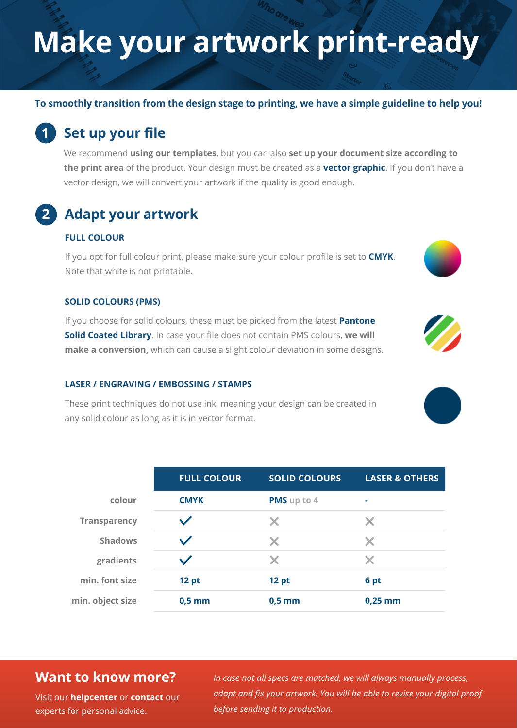# **Make your artwork print-ready**

**To smoothly transition from the design stage to printing, we have a simple guideline to help you!**

## **1 Set up your file**

We recommend **using our templates**, but you can also **set up your document size according to the print area** of the product. Your design must be created as a **vector graphic**. If you don't have a vector design, we will convert your artwork if the quality is good enough.

## **2 Adapt your artwork**

#### **FULL COLOUR**

If you opt for full colour print, please make sure your colour profile is set to **CMYK**. Note that white is not printable.

#### **SOLID COLOURS (PMS)**

If you choose for solid colours, these must be picked from the latest **Pantone Solid Coated Library**. In case your file does not contain PMS colours, **we will make a conversion,** which can cause a slight colour deviation in some designs.

#### **LASER / ENGRAVING / EMBOSSING / STAMPS**

These print techniques do not use ink, meaning your design can be created in any solid colour as long as it is in vector format.

|                     | <b>FULL COLOUR</b> | <b>SOLID COLOURS</b> | <b>LASER &amp; OTHERS</b> |
|---------------------|--------------------|----------------------|---------------------------|
| colour              | <b>CMYK</b>        | PMS up to 4          | ۰                         |
| <b>Transparency</b> |                    | X                    | X                         |
| <b>Shadows</b>      |                    | X                    | $\bm{\times}$             |
| gradients           |                    | X                    | X                         |
| min. font size      | 12 pt              | 12 pt                | 6 pt                      |
| min. object size    | $0,5$ mm           | $0,5$ mm             | $0,25$ mm                 |

### **Want to know more?**

**Visit our [helpcenter](https://www.helloprint.co.uk/contact-us) or [contact](https://www.helloprint.co.uk/new2contactform) our** experts for personal advice.

*In case not all specs are matched, we will always manually process, adapt and fix your artwork. You will be able to revise your digital proof before sending it to production.*